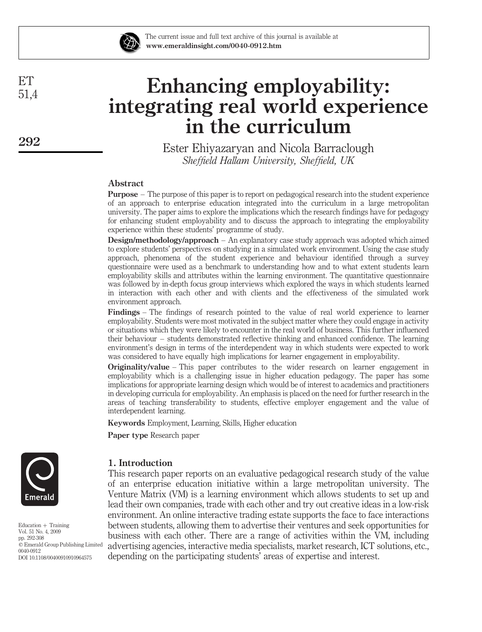

The current issue and full text archive of this journal is available at www.emeraldinsight.com/0040-0912.htm

292

# Enhancing employability: integrating real world experience in the curriculum

Ester Ehiyazaryan and Nicola Barraclough Sheffield Hallam University, Sheffield, UK

# Abstract

Purpose – The purpose of this paper is to report on pedagogical research into the student experience of an approach to enterprise education integrated into the curriculum in a large metropolitan university. The paper aims to explore the implications which the research findings have for pedagogy for enhancing student employability and to discuss the approach to integrating the employability experience within these students' programme of study.

**Design/methodology/approach** – An explanatory case study approach was adopted which aimed to explore students' perspectives on studying in a simulated work environment. Using the case study approach, phenomena of the student experience and behaviour identified through a survey questionnaire were used as a benchmark to understanding how and to what extent students learn employability skills and attributes within the learning environment. The quantitative questionnaire was followed by in-depth focus group interviews which explored the ways in which students learned in interaction with each other and with clients and the effectiveness of the simulated work environment approach.

Findings – The findings of research pointed to the value of real world experience to learner employability. Students were most motivated in the subject matter where they could engage in activity or situations which they were likely to encounter in the real world of business. This further influenced their behaviour – students demonstrated reflective thinking and enhanced confidence. The learning environment's design in terms of the interdependent way in which students were expected to work was considered to have equally high implications for learner engagement in employability.

Originality/value – This paper contributes to the wider research on learner engagement in employability which is a challenging issue in higher education pedagogy. The paper has some implications for appropriate learning design which would be of interest to academics and practitioners in developing curricula for employability. An emphasis is placed on the need for further research in the areas of teaching transferability to students, effective employer engagement and the value of interdependent learning.

Keywords Employment, Learning, Skills, Higher education

Paper type Research paper



1. Introduction

This research paper reports on an evaluative pedagogical research study of the value of an enterprise education initiative within a large metropolitan university. The Venture Matrix (VM) is a learning environment which allows students to set up and lead their own companies, trade with each other and try out creative ideas in a low-risk environment. An online interactive trading estate supports the face to face interactions between students, allowing them to advertise their ventures and seek opportunities for business with each other. There are a range of activities within the VM, including advertising agencies, interactive media specialists, market research, ICT solutions, etc., depending on the participating students' areas of expertise and interest.



 $Education + Training$ Vol. 51 No. 4, 2009 pp. 292-308  $©$  Emerald Group Publishing Limited 0040-0912 DOI 10.1108/00400910910964575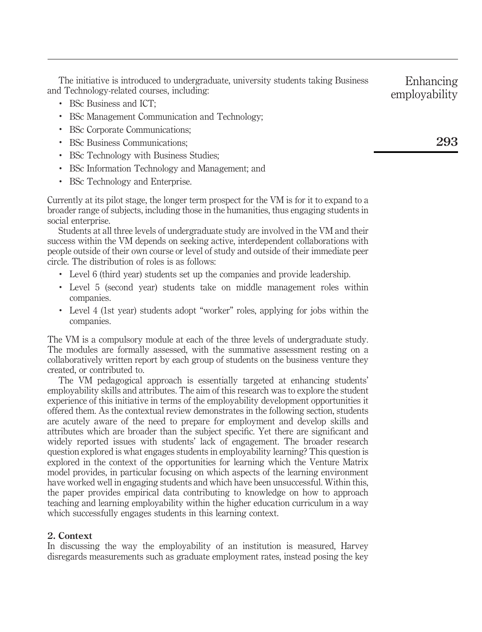The initiative is introduced to undergraduate, university students taking Business and Technology-related courses, including:

- . BSc Business and ICT;
- . BSc Management Communication and Technology;
- . BSc Corporate Communications;
- . BSc Business Communications;
- . BSc Technology with Business Studies;
- . BSc Information Technology and Management; and
- . BSc Technology and Enterprise.

Currently at its pilot stage, the longer term prospect for the VM is for it to expand to a broader range of subjects, including those in the humanities, thus engaging students in social enterprise.

Students at all three levels of undergraduate study are involved in the VM and their success within the VM depends on seeking active, interdependent collaborations with people outside of their own course or level of study and outside of their immediate peer circle. The distribution of roles is as follows:

- . Level 6 (third year) students set up the companies and provide leadership.
- . Level 5 (second year) students take on middle management roles within companies.
- . Level 4 (1st year) students adopt "worker" roles, applying for jobs within the companies.

The VM is a compulsory module at each of the three levels of undergraduate study. The modules are formally assessed, with the summative assessment resting on a collaboratively written report by each group of students on the business venture they created, or contributed to.

The VM pedagogical approach is essentially targeted at enhancing students' employability skills and attributes. The aim of this research was to explore the student experience of this initiative in terms of the employability development opportunities it offered them. As the contextual review demonstrates in the following section, students are acutely aware of the need to prepare for employment and develop skills and attributes which are broader than the subject specific. Yet there are significant and widely reported issues with students' lack of engagement. The broader research question explored is what engages students in employability learning? This question is explored in the context of the opportunities for learning which the Venture Matrix model provides, in particular focusing on which aspects of the learning environment have worked well in engaging students and which have been unsuccessful. Within this, the paper provides empirical data contributing to knowledge on how to approach teaching and learning employability within the higher education curriculum in a way which successfully engages students in this learning context.

# 2. Context

In discussing the way the employability of an institution is measured, Harvey disregards measurements such as graduate employment rates, instead posing the key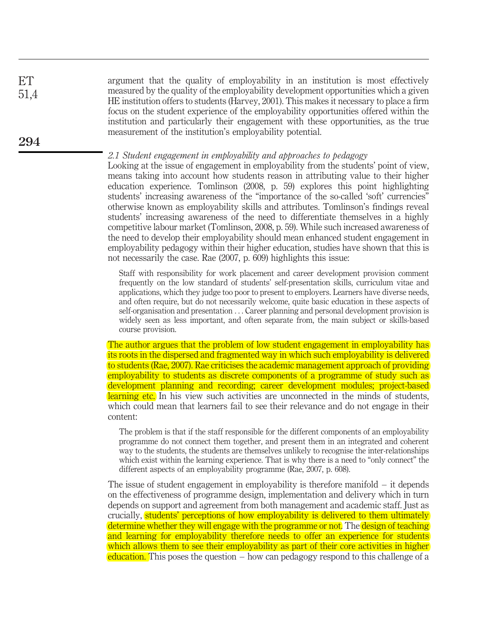argument that the quality of employability in an institution is most effectively measured by the quality of the employability development opportunities which a given HE institution offers to students (Harvey, 2001). This makes it necessary to place a firm focus on the student experience of the employability opportunities offered within the institution and particularly their engagement with these opportunities, as the true measurement of the institution's employability potential.

# 2.1 Student engagement in employability and approaches to pedagogy

Looking at the issue of engagement in employability from the students' point of view, means taking into account how students reason in attributing value to their higher education experience. Tomlinson (2008, p. 59) explores this point highlighting students' increasing awareness of the "importance of the so-called 'soft' currencies" otherwise known as employability skills and attributes. Tomlinson's findings reveal students' increasing awareness of the need to differentiate themselves in a highly competitive labour market (Tomlinson, 2008, p. 59). While such increased awareness of the need to develop their employability should mean enhanced student engagement in employability pedagogy within their higher education, studies have shown that this is not necessarily the case. Rae (2007, p. 609) highlights this issue:

Staff with responsibility for work placement and career development provision comment frequently on the low standard of students' self-presentation skills, curriculum vitae and applications, which they judge too poor to present to employers. Learners have diverse needs, and often require, but do not necessarily welcome, quite basic education in these aspects of self-organisation and presentation ... Career planning and personal development provision is widely seen as less important, and often separate from, the main subject or skills-based course provision.

The author argues that the problem of low student engagement in employability has its roots in the dispersed and fragmented way in which such employability is delivered to students (Rae, 2007). Rae criticises the academic management approach of providing employability to students as discrete components of a programme of study such as development planning and recording; career development modules; project-based learning etc. In his view such activities are unconnected in the minds of students, which could mean that learners fail to see their relevance and do not engage in their content:

The problem is that if the staff responsible for the different components of an employability programme do not connect them together, and present them in an integrated and coherent way to the students, the students are themselves unlikely to recognise the inter-relationships which exist within the learning experience. That is why there is a need to "only connect" the different aspects of an employability programme (Rae, 2007, p. 608).

The issue of student engagement in employability is therefore manifold  $-$  it depends on the effectiveness of programme design, implementation and delivery which in turn depends on support and agreement from both management and academic staff. Just as crucially, students' perceptions of how employability is delivered to them ultimately determine whether they will engage with the programme or not. The design of teaching and learning for employability therefore needs to offer an experience for students which allows them to see their employability as part of their core activities in higher education. This poses the question  $-$  how can pedagogy respond to this challenge of a

294

ET 51,4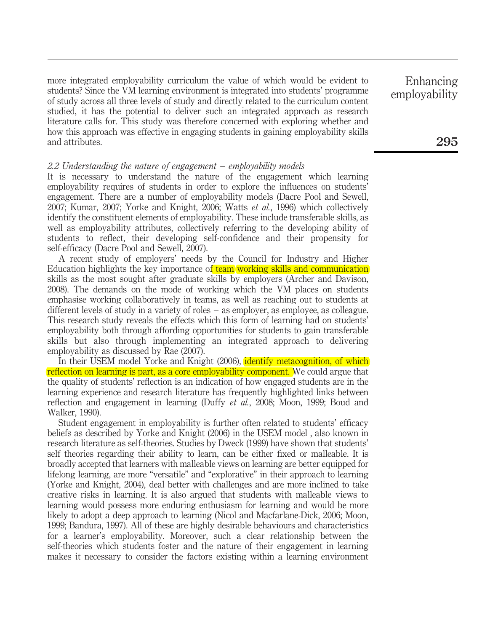more integrated employability curriculum the value of which would be evident to students? Since the VM learning environment is integrated into students' programme of study across all three levels of study and directly related to the curriculum content studied, it has the potential to deliver such an integrated approach as research literature calls for. This study was therefore concerned with exploring whether and how this approach was effective in engaging students in gaining employability skills and attributes.

## 2.2 Understanding the nature of engagement – employability models

It is necessary to understand the nature of the engagement which learning employability requires of students in order to explore the influences on students' engagement. There are a number of employability models (Dacre Pool and Sewell, 2007; Kumar, 2007; Yorke and Knight, 2006; Watts et al., 1996) which collectively identify the constituent elements of employability. These include transferable skills, as well as employability attributes, collectively referring to the developing ability of students to reflect, their developing self-confidence and their propensity for self-efficacy (Dacre Pool and Sewell, 2007).

A recent study of employers' needs by the Council for Industry and Higher Education highlights the key importance of team working skills and communication skills as the most sought after graduate skills by employers (Archer and Davison, 2008). The demands on the mode of working which the VM places on students emphasise working collaboratively in teams, as well as reaching out to students at different levels of study in a variety of roles – as employer, as employee, as colleague. This research study reveals the effects which this form of learning had on students' employability both through affording opportunities for students to gain transferable skills but also through implementing an integrated approach to delivering employability as discussed by Rae (2007).

In their USEM model Yorke and Knight (2006), **identify metacognition**, of which reflection on learning is part, as a core employability component. We could argue that the quality of students' reflection is an indication of how engaged students are in the learning experience and research literature has frequently highlighted links between reflection and engagement in learning (Duffy et al., 2008; Moon, 1999; Boud and Walker, 1990).

Student engagement in employability is further often related to students' efficacy beliefs as described by Yorke and Knight (2006) in the USEM model , also known in research literature as self-theories. Studies by Dweck (1999) have shown that students' self theories regarding their ability to learn, can be either fixed or malleable. It is broadly accepted that learners with malleable views on learning are better equipped for lifelong learning, are more "versatile" and "explorative" in their approach to learning (Yorke and Knight, 2004), deal better with challenges and are more inclined to take creative risks in learning. It is also argued that students with malleable views to learning would possess more enduring enthusiasm for learning and would be more likely to adopt a deep approach to learning (Nicol and Macfarlane-Dick, 2006; Moon, 1999; Bandura, 1997). All of these are highly desirable behaviours and characteristics for a learner's employability. Moreover, such a clear relationship between the self-theories which students foster and the nature of their engagement in learning makes it necessary to consider the factors existing within a learning environment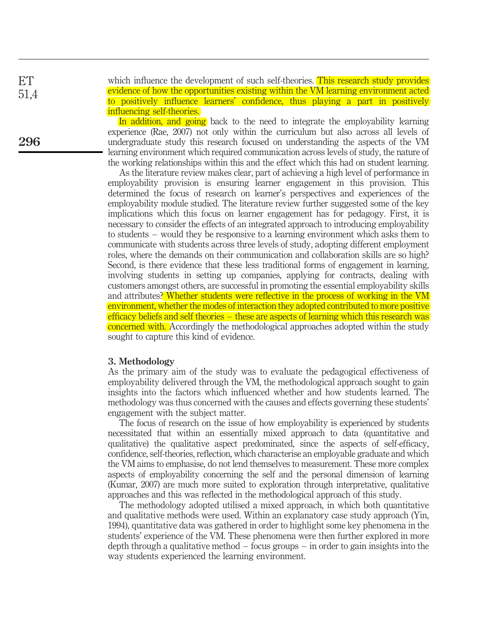which influence the development of such self-theories. This research study provides evidence of how the opportunities existing within the VM learning environment acted to positively influence learners' confidence, thus playing a part in positively influencing self-theories. ET 51,4

In addition, and going back to the need to integrate the employability learning experience (Rae, 2007) not only within the curriculum but also across all levels of undergraduate study this research focused on understanding the aspects of the VM learning environment which required communication across levels of study, the nature of the working relationships within this and the effect which this had on student learning.

As the literature review makes clear, part of achieving a high level of performance in employability provision is ensuring learner engagement in this provision. This determined the focus of research on learner's perspectives and experiences of the employability module studied. The literature review further suggested some of the key implications which this focus on learner engagement has for pedagogy. First, it is necessary to consider the effects of an integrated approach to introducing employability to students – would they be responsive to a learning environment which asks them to communicate with students across three levels of study, adopting different employment roles, where the demands on their communication and collaboration skills are so high? Second, is there evidence that these less traditional forms of engagement in learning, involving students in setting up companies, applying for contracts, dealing with customers amongst others, are successful in promoting the essential employability skills and attributes? Whether students were reflective in the process of working in the VM environment, whether the modes of interaction they adopted contributed to more positive efficacy beliefs and self theories – these are aspects of learning which this research was concerned with. Accordingly the methodological approaches adopted within the study sought to capture this kind of evidence.

## 3. Methodology

As the primary aim of the study was to evaluate the pedagogical effectiveness of employability delivered through the VM, the methodological approach sought to gain insights into the factors which influenced whether and how students learned. The methodology was thus concerned with the causes and effects governing these students' engagement with the subject matter.

The focus of research on the issue of how employability is experienced by students necessitated that within an essentially mixed approach to data (quantitative and qualitative) the qualitative aspect predominated, since the aspects of self-efficacy, confidence, self-theories, reflection, which characterise an employable graduate and which the VM aims to emphasise, do not lend themselves to measurement. These more complex aspects of employability concerning the self and the personal dimension of learning (Kumar, 2007) are much more suited to exploration through interpretative, qualitative approaches and this was reflected in the methodological approach of this study.

The methodology adopted utilised a mixed approach, in which both quantitative and qualitative methods were used. Within an explanatory case study approach (Yin, 1994), quantitative data was gathered in order to highlight some key phenomena in the students' experience of the VM. These phenomena were then further explored in more depth through a qualitative method – focus groups – in order to gain insights into the way students experienced the learning environment.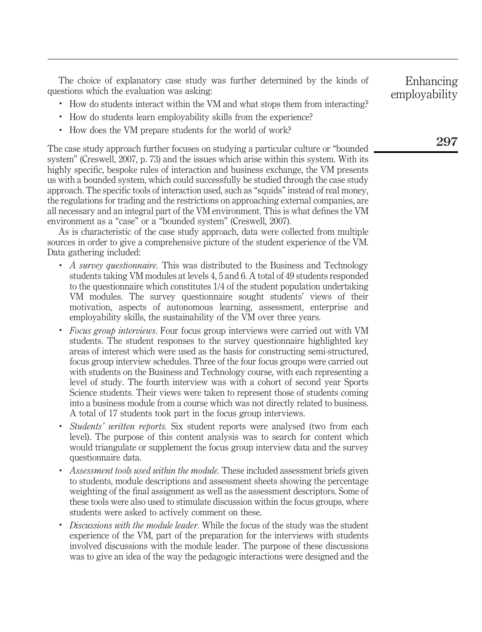The choice of explanatory case study was further determined by the kinds of questions which the evaluation was asking:

- . How do students interact within the VM and what stops them from interacting?
- . How do students learn employability skills from the experience?
- . How does the VM prepare students for the world of work?

The case study approach further focuses on studying a particular culture or "bounded system" (Creswell, 2007, p. 73) and the issues which arise within this system. With its highly specific, bespoke rules of interaction and business exchange, the VM presents us with a bounded system, which could successfully be studied through the case study approach. The specific tools of interaction used, such as "squids" instead of real money, the regulations for trading and the restrictions on approaching external companies, are all necessary and an integral part of the VM environment. This is what defines the VM environment as a "case" or a "bounded system" (Creswell, 2007).

As is characteristic of the case study approach, data were collected from multiple sources in order to give a comprehensive picture of the student experience of the VM. Data gathering included:

- A *survey questionnaire*. This was distributed to the Business and Technology students taking VM modules at levels 4, 5 and 6. A total of 49 students responded to the questionnaire which constitutes 1/4 of the student population undertaking VM modules. The survey questionnaire sought students' views of their motivation, aspects of autonomous learning, assessment, enterprise and employability skills, the sustainability of the VM over three years.
- . Focus group interviews. Four focus group interviews were carried out with VM students. The student responses to the survey questionnaire highlighted key areas of interest which were used as the basis for constructing semi-structured, focus group interview schedules. Three of the four focus groups were carried out with students on the Business and Technology course, with each representing a level of study. The fourth interview was with a cohort of second year Sports Science students. Their views were taken to represent those of students coming into a business module from a course which was not directly related to business. A total of 17 students took part in the focus group interviews.
- . Students' written reports. Six student reports were analysed (two from each level). The purpose of this content analysis was to search for content which would triangulate or supplement the focus group interview data and the survey questionnaire data.
- . Assessment tools used within the module. These included assessment briefs given to students, module descriptions and assessment sheets showing the percentage weighting of the final assignment as well as the assessment descriptors. Some of these tools were also used to stimulate discussion within the focus groups, where students were asked to actively comment on these.
- . Discussions with the module leader. While the focus of the study was the student experience of the VM, part of the preparation for the interviews with students involved discussions with the module leader. The purpose of these discussions was to give an idea of the way the pedagogic interactions were designed and the

Enhancing employability

297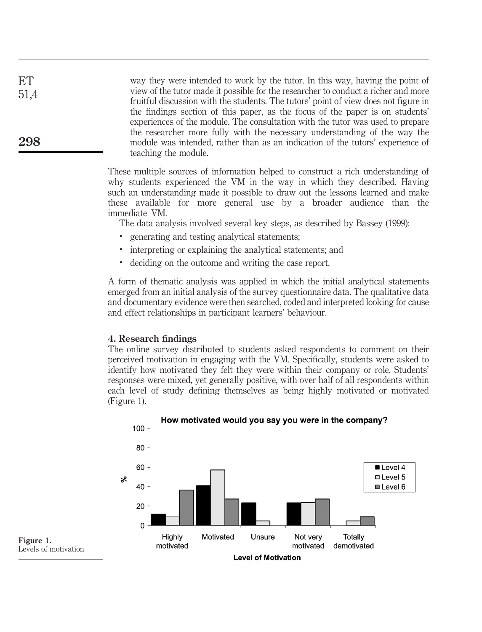way they were intended to work by the tutor. In this way, having the point of view of the tutor made it possible for the researcher to conduct a richer and more fruitful discussion with the students. The tutors' point of view does not figure in the findings section of this paper, as the focus of the paper is on students' experiences of the module. The consultation with the tutor was used to prepare the researcher more fully with the necessary understanding of the way the module was intended, rather than as an indication of the tutors' experience of teaching the module.

These multiple sources of information helped to construct a rich understanding of why students experienced the VM in the way in which they described. Having such an understanding made it possible to draw out the lessons learned and make these available for more general use by a broader audience than the immediate VM.

The data analysis involved several key steps, as described by Bassey (1999):

- . generating and testing analytical statements;
- . interpreting or explaining the analytical statements; and
- . deciding on the outcome and writing the case report.

A form of thematic analysis was applied in which the initial analytical statements emerged from an initial analysis of the survey questionnaire data. The qualitative data and documentary evidence were then searched, coded and interpreted looking for cause and effect relationships in participant learners' behaviour.

# 4. Research findings

The online survey distributed to students asked respondents to comment on their perceived motivation in engaging with the VM. Specifically, students were asked to identify how motivated they felt they were within their company or role. Students' responses were mixed, yet generally positive, with over half of all respondents within each level of study defining themselves as being highly motivated or motivated (Figure 1).





Figure 1. Levels of motivation

ET 51,4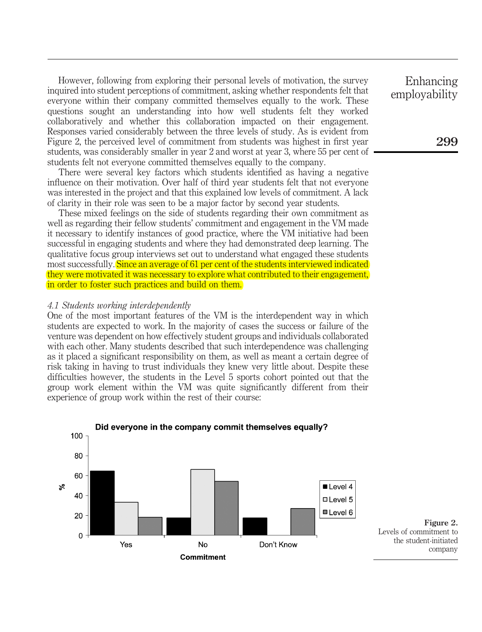However, following from exploring their personal levels of motivation, the survey inquired into student perceptions of commitment, asking whether respondents felt that everyone within their company committed themselves equally to the work. These questions sought an understanding into how well students felt they worked collaboratively and whether this collaboration impacted on their engagement. Responses varied considerably between the three levels of study. As is evident from Figure 2, the perceived level of commitment from students was highest in first year students, was considerably smaller in year 2 and worst at year 3, where 55 per cent of students felt not everyone committed themselves equally to the company.

There were several key factors which students identified as having a negative influence on their motivation. Over half of third year students felt that not everyone was interested in the project and that this explained low levels of commitment. A lack of clarity in their role was seen to be a major factor by second year students.

These mixed feelings on the side of students regarding their own commitment as well as regarding their fellow students' commitment and engagement in the VM made it necessary to identify instances of good practice, where the VM initiative had been successful in engaging students and where they had demonstrated deep learning. The qualitative focus group interviews set out to understand what engaged these students most successfully. Since an average of 61 per cent of the students interviewed indicated they were motivated it was necessary to explore what contributed to their engagement, in order to foster such practices and build on them.

#### 4.1 Students working interdependently

One of the most important features of the VM is the interdependent way in which students are expected to work. In the majority of cases the success or failure of the venture was dependent on how effectively student groups and individuals collaborated with each other. Many students described that such interdependence was challenging as it placed a significant responsibility on them, as well as meant a certain degree of risk taking in having to trust individuals they knew very little about. Despite these difficulties however, the students in the Level 5 sports cohort pointed out that the group work element within the VM was quite significantly different from their experience of group work within the rest of their course:



Did everyone in the company commit themselves equally?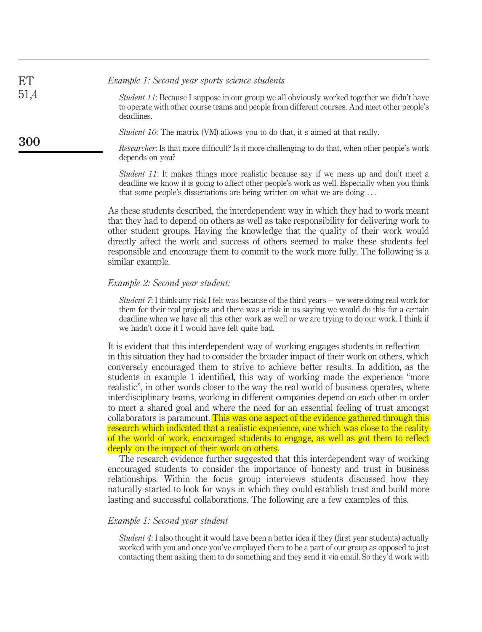Example 1: Second year sports science students

Student 11: Because I suppose in our group we all obviously worked together we didn't have to operate with other course teams and people from different courses. And meet other people's deadlines.

Student 10: The matrix (VM) allows you to do that, it s aimed at that really.

Researcher: Is that more difficult? Is it more challenging to do that, when other people's work depends on you?

Student 11: It makes things more realistic because say if we mess up and don't meet a deadline we know it is going to affect other people's work as well. Especially when you think that some people's dissertations are being written on what we are doing ...

As these students described, the interdependent way in which they had to work meant that they had to depend on others as well as take responsibility for delivering work to other student groups. Having the knowledge that the quality of their work would directly affect the work and success of others seemed to make these students feel responsible and encourage them to commit to the work more fully. The following is a similar example.

#### Example 2: Second year student:

Student 7: I think any risk I felt was because of the third years – we were doing real work for them for their real projects and there was a risk in us saying we would do this for a certain deadline when we have all this other work as well or we are trying to do our work. I think if we hadn't done it I would have felt quite bad.

It is evident that this interdependent way of working engages students in reflection – in this situation they had to consider the broader impact of their work on others, which conversely encouraged them to strive to achieve better results. In addition, as the students in example 1 identified, this way of working made the experience "more realistic", in other words closer to the way the real world of business operates, where interdisciplinary teams, working in different companies depend on each other in order to meet a shared goal and where the need for an essential feeling of trust amongst collaborators is paramount. This was one aspect of the evidence gathered through this research which indicated that a realistic experience, one which was close to the reality of the world of work, encouraged students to engage, as well as got them to reflect deeply on the impact of their work on others.

The research evidence further suggested that this interdependent way of working encouraged students to consider the importance of honesty and trust in business relationships. Within the focus group interviews students discussed how they naturally started to look for ways in which they could establish trust and build more lasting and successful collaborations. The following are a few examples of this.

## Example 1: Second year student

Student 4: I also thought it would have been a better idea if they (first year students) actually worked with you and once you've employed them to be a part of our group as opposed to just contacting them asking them to do something and they send it via email. So they'd work with

300

ET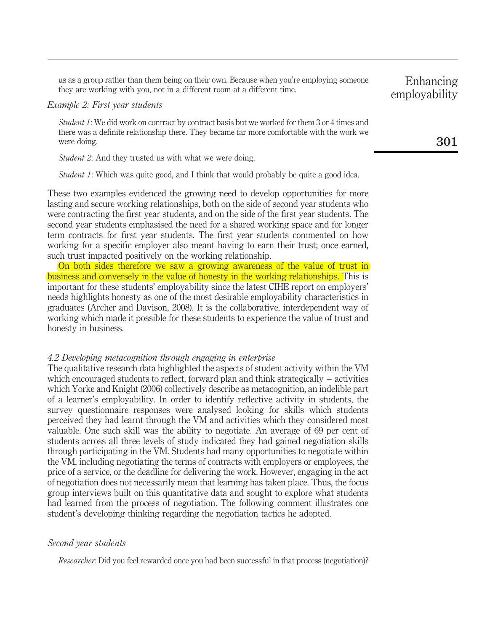us as a group rather than them being on their own. Because when you're employing someone they are working with you, not in a different room at a different time.

# Example 2: First year students

Student 1: We did work on contract by contract basis but we worked for them 3 or 4 times and there was a definite relationship there. They became far more comfortable with the work we were doing.

Student 2: And they trusted us with what we were doing.

Student 1: Which was quite good, and I think that would probably be quite a good idea.

These two examples evidenced the growing need to develop opportunities for more lasting and secure working relationships, both on the side of second year students who were contracting the first year students, and on the side of the first year students. The second year students emphasised the need for a shared working space and for longer term contracts for first year students. The first year students commented on how working for a specific employer also meant having to earn their trust; once earned, such trust impacted positively on the working relationship.

On both sides therefore we saw a growing awareness of the value of trust in business and conversely in the value of honesty in the working relationships. This is important for these students' employability since the latest CIHE report on employers' needs highlights honesty as one of the most desirable employability characteristics in graduates (Archer and Davison, 2008). It is the collaborative, interdependent way of working which made it possible for these students to experience the value of trust and honesty in business.

## 4.2 Developing metacognition through engaging in enterprise

The qualitative research data highlighted the aspects of student activity within the VM which encouraged students to reflect, forward plan and think strategically – activities which Yorke and Knight (2006) collectively describe as metacognition, an indelible part of a learner's employability. In order to identify reflective activity in students, the survey questionnaire responses were analysed looking for skills which students perceived they had learnt through the VM and activities which they considered most valuable. One such skill was the ability to negotiate. An average of 69 per cent of students across all three levels of study indicated they had gained negotiation skills through participating in the VM. Students had many opportunities to negotiate within the VM, including negotiating the terms of contracts with employers or employees, the price of a service, or the deadline for delivering the work. However, engaging in the act of negotiation does not necessarily mean that learning has taken place. Thus, the focus group interviews built on this quantitative data and sought to explore what students had learned from the process of negotiation. The following comment illustrates one student's developing thinking regarding the negotiation tactics he adopted.

# Second year students

Researcher: Did you feel rewarded once you had been successful in that process (negotiation)?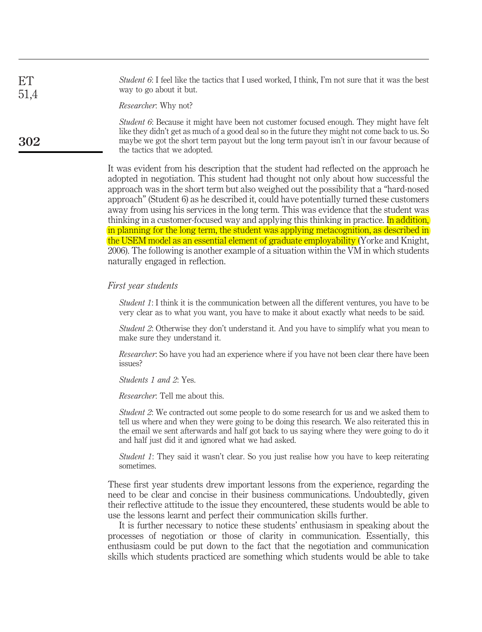Student 6: I feel like the tactics that I used worked, I think, I'm not sure that it was the best way to go about it but. 51,4

Researcher: Why not?

ET

302

Student 6: Because it might have been not customer focused enough. They might have felt like they didn't get as much of a good deal so in the future they might not come back to us. So maybe we got the short term payout but the long term payout isn't in our favour because of the tactics that we adopted.

It was evident from his description that the student had reflected on the approach he adopted in negotiation. This student had thought not only about how successful the approach was in the short term but also weighed out the possibility that a "hard-nosed approach" (Student 6) as he described it, could have potentially turned these customers away from using his services in the long term. This was evidence that the student was thinking in a customer-focused way and applying this thinking in practice. In addition, in planning for the long term, the student was applying metacognition, as described in the USEM model as an essential element of graduate employability (Yorke and Knight, 2006). The following is another example of a situation within the VM in which students naturally engaged in reflection.

#### First year students

Student 1: I think it is the communication between all the different ventures, you have to be very clear as to what you want, you have to make it about exactly what needs to be said.

Student 2: Otherwise they don't understand it. And you have to simplify what you mean to make sure they understand it.

Researcher: So have you had an experience where if you have not been clear there have been issues?

Students 1 and 2: Yes.

Researcher: Tell me about this.

Student 2: We contracted out some people to do some research for us and we asked them to tell us where and when they were going to be doing this research. We also reiterated this in the email we sent afterwards and half got back to us saying where they were going to do it and half just did it and ignored what we had asked.

Student 1: They said it wasn't clear. So you just realise how you have to keep reiterating sometimes.

These first year students drew important lessons from the experience, regarding the need to be clear and concise in their business communications. Undoubtedly, given their reflective attitude to the issue they encountered, these students would be able to use the lessons learnt and perfect their communication skills further.

It is further necessary to notice these students' enthusiasm in speaking about the processes of negotiation or those of clarity in communication. Essentially, this enthusiasm could be put down to the fact that the negotiation and communication skills which students practiced are something which students would be able to take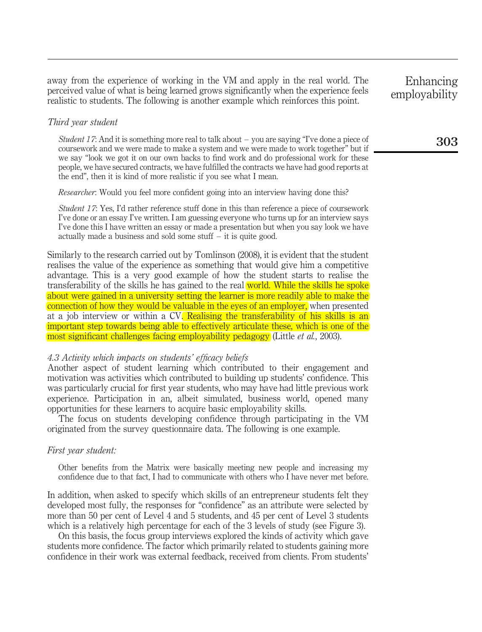away from the experience of working in the VM and apply in the real world. The perceived value of what is being learned grows significantly when the experience feels realistic to students. The following is another example which reinforces this point.

# Third year student

Student 17: And it is something more real to talk about – you are saying "I've done a piece of coursework and we were made to make a system and we were made to work together" but if we say "look we got it on our own backs to find work and do professional work for these people, we have secured contracts, we have fulfilled the contracts we have had good reports at the end", then it is kind of more realistic if you see what I mean.

Researcher: Would you feel more confident going into an interview having done this?

Student 17: Yes, I'd rather reference stuff done in this than reference a piece of coursework I've done or an essay I've written. I am guessing everyone who turns up for an interview says I've done this I have written an essay or made a presentation but when you say look we have actually made a business and sold some stuff – it is quite good.

Similarly to the research carried out by Tomlinson (2008), it is evident that the student realises the value of the experience as something that would give him a competitive advantage. This is a very good example of how the student starts to realise the transferability of the skills he has gained to the real world. While the skills he spoke about were gained in a university setting the learner is more readily able to make the connection of how they would be valuable in the eyes of an employer, when presented at a job interview or within a CV. Realising the transferability of his skills is an important step towards being able to effectively articulate these, which is one of the most significant challenges facing employability pedagogy (Little et al., 2003).

#### 4.3 Activity which impacts on students' efficacy beliefs

Another aspect of student learning which contributed to their engagement and motivation was activities which contributed to building up students' confidence. This was particularly crucial for first year students, who may have had little previous work experience. Participation in an, albeit simulated, business world, opened many opportunities for these learners to acquire basic employability skills.

The focus on students developing confidence through participating in the VM originated from the survey questionnaire data. The following is one example.

## First year student:

Other benefits from the Matrix were basically meeting new people and increasing my confidence due to that fact, I had to communicate with others who I have never met before.

In addition, when asked to specify which skills of an entrepreneur students felt they developed most fully, the responses for "confidence" as an attribute were selected by more than 50 per cent of Level 4 and 5 students, and 45 per cent of Level 3 students which is a relatively high percentage for each of the 3 levels of study (see Figure 3).

On this basis, the focus group interviews explored the kinds of activity which gave students more confidence. The factor which primarily related to students gaining more confidence in their work was external feedback, received from clients. From students'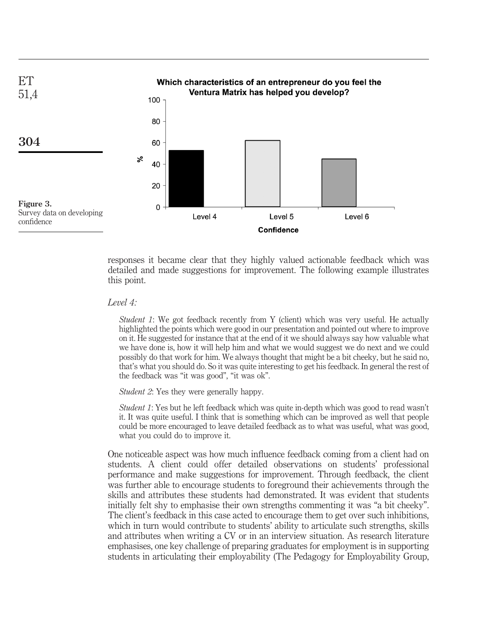

responses it became clear that they highly valued actionable feedback which was detailed and made suggestions for improvement. The following example illustrates this point.

Level 4:

Student 1: We got feedback recently from Y (client) which was very useful. He actually highlighted the points which were good in our presentation and pointed out where to improve on it. He suggested for instance that at the end of it we should always say how valuable what we have done is, how it will help him and what we would suggest we do next and we could possibly do that work for him. We always thought that might be a bit cheeky, but he said no, that's what you should do. So it was quite interesting to get his feedback. In general the rest of the feedback was "it was good", "it was ok".

Student 2: Yes they were generally happy.

Student 1: Yes but he left feedback which was quite in-depth which was good to read wasn't it. It was quite useful. I think that is something which can be improved as well that people could be more encouraged to leave detailed feedback as to what was useful, what was good, what you could do to improve it.

One noticeable aspect was how much influence feedback coming from a client had on students. A client could offer detailed observations on students' professional performance and make suggestions for improvement. Through feedback, the client was further able to encourage students to foreground their achievements through the skills and attributes these students had demonstrated. It was evident that students initially felt shy to emphasise their own strengths commenting it was "a bit cheeky". The client's feedback in this case acted to encourage them to get over such inhibitions, which in turn would contribute to students' ability to articulate such strengths, skills and attributes when writing a CV or in an interview situation. As research literature emphasises, one key challenge of preparing graduates for employment is in supporting students in articulating their employability (The Pedagogy for Employability Group,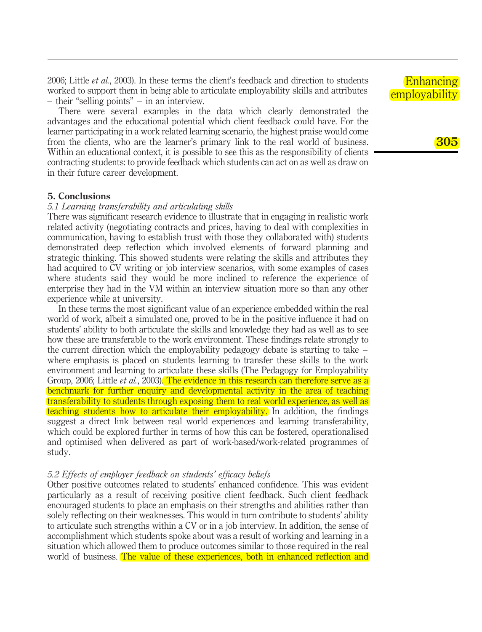2006; Little et al., 2003). In these terms the client's feedback and direction to students worked to support them in being able to articulate employability skills and attributes – their "selling points" – in an interview.

There were several examples in the data which clearly demonstrated the advantages and the educational potential which client feedback could have. For the learner participating in a work related learning scenario, the highest praise would come from the clients, who are the learner's primary link to the real world of business. Within an educational context, it is possible to see this as the responsibility of clients contracting students: to provide feedback which students can act on as well as draw on in their future career development.

# 5. Conclusions

#### 5.1 Learning transferability and articulating skills

There was significant research evidence to illustrate that in engaging in realistic work related activity (negotiating contracts and prices, having to deal with complexities in communication, having to establish trust with those they collaborated with) students demonstrated deep reflection which involved elements of forward planning and strategic thinking. This showed students were relating the skills and attributes they had acquired to CV writing or job interview scenarios, with some examples of cases where students said they would be more inclined to reference the experience of enterprise they had in the VM within an interview situation more so than any other experience while at university.

In these terms the most significant value of an experience embedded within the real world of work, albeit a simulated one, proved to be in the positive influence it had on students' ability to both articulate the skills and knowledge they had as well as to see how these are transferable to the work environment. These findings relate strongly to the current direction which the employability pedagogy debate is starting to take – where emphasis is placed on students learning to transfer these skills to the work environment and learning to articulate these skills (The Pedagogy for Employability Group, 2006; Little *et al.*, 2003). The evidence in this research can therefore serve as a benchmark for further enquiry and developmental activity in the area of teaching transferability to students through exposing them to real world experience, as well as teaching students how to articulate their employability. In addition, the findings suggest a direct link between real world experiences and learning transferability, which could be explored further in terms of how this can be fostered, operationalised and optimised when delivered as part of work-based/work-related programmes of study.

# 5.2 Effects of employer feedback on students' efficacy beliefs

Other positive outcomes related to students' enhanced confidence. This was evident particularly as a result of receiving positive client feedback. Such client feedback encouraged students to place an emphasis on their strengths and abilities rather than solely reflecting on their weaknesses. This would in turn contribute to students' ability to articulate such strengths within a CV or in a job interview. In addition, the sense of accomplishment which students spoke about was a result of working and learning in a situation which allowed them to produce outcomes similar to those required in the real world of business. The value of these experiences, both in enhanced reflection and

**Enhancing** employability

305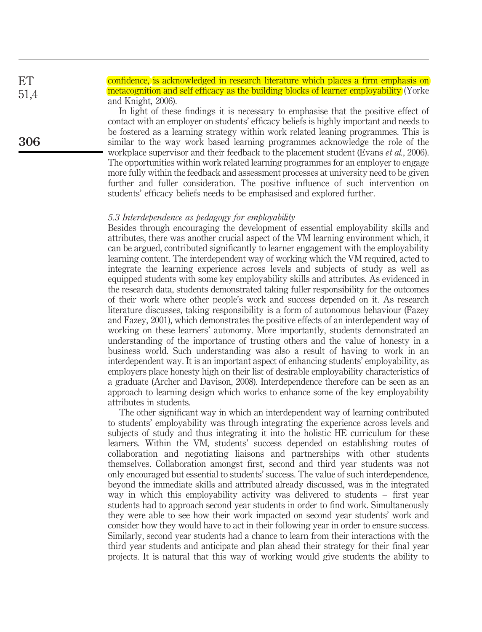ET 51,4

306

# confidence, is acknowledged in research literature which places a firm emphasis on metacognition and self efficacy as the building blocks of learner employability (Yorke and Knight, 2006).

In light of these findings it is necessary to emphasise that the positive effect of contact with an employer on students' efficacy beliefs is highly important and needs to be fostered as a learning strategy within work related leaning programmes. This is similar to the way work based learning programmes acknowledge the role of the workplace supervisor and their feedback to the placement student (Evans *et al.*, 2006). The opportunities within work related learning programmes for an employer to engage more fully within the feedback and assessment processes at university need to be given further and fuller consideration. The positive influence of such intervention on students' efficacy beliefs needs to be emphasised and explored further.

## 5.3 Interdependence as pedagogy for employability

Besides through encouraging the development of essential employability skills and attributes, there was another crucial aspect of the VM learning environment which, it can be argued, contributed significantly to learner engagement with the employability learning content. The interdependent way of working which the VM required, acted to integrate the learning experience across levels and subjects of study as well as equipped students with some key employability skills and attributes. As evidenced in the research data, students demonstrated taking fuller responsibility for the outcomes of their work where other people's work and success depended on it. As research literature discusses, taking responsibility is a form of autonomous behaviour (Fazey and Fazey, 2001), which demonstrates the positive effects of an interdependent way of working on these learners' autonomy. More importantly, students demonstrated an understanding of the importance of trusting others and the value of honesty in a business world. Such understanding was also a result of having to work in an interdependent way. It is an important aspect of enhancing students' employability, as employers place honesty high on their list of desirable employability characteristics of a graduate (Archer and Davison, 2008). Interdependence therefore can be seen as an approach to learning design which works to enhance some of the key employability attributes in students.

The other significant way in which an interdependent way of learning contributed to students' employability was through integrating the experience across levels and subjects of study and thus integrating it into the holistic HE curriculum for these learners. Within the VM, students' success depended on establishing routes of collaboration and negotiating liaisons and partnerships with other students themselves. Collaboration amongst first, second and third year students was not only encouraged but essential to students' success. The value of such interdependence, beyond the immediate skills and attributed already discussed, was in the integrated way in which this employability activity was delivered to students – first year students had to approach second year students in order to find work. Simultaneously they were able to see how their work impacted on second year students' work and consider how they would have to act in their following year in order to ensure success. Similarly, second year students had a chance to learn from their interactions with the third year students and anticipate and plan ahead their strategy for their final year projects. It is natural that this way of working would give students the ability to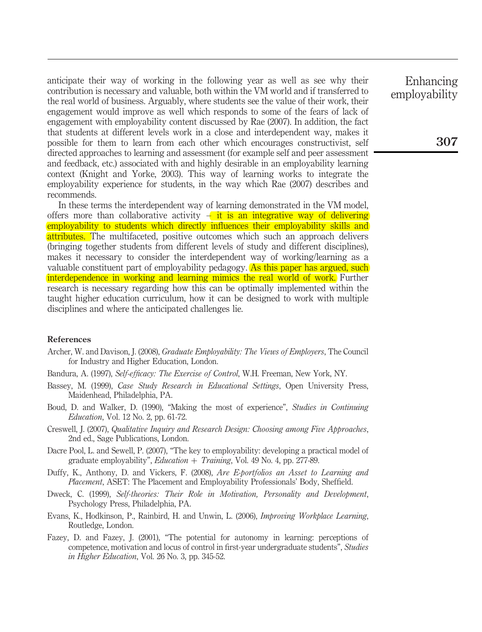anticipate their way of working in the following year as well as see why their contribution is necessary and valuable, both within the VM world and if transferred to the real world of business. Arguably, where students see the value of their work, their engagement would improve as well which responds to some of the fears of lack of engagement with employability content discussed by Rae (2007). In addition, the fact that students at different levels work in a close and interdependent way, makes it possible for them to learn from each other which encourages constructivist, self directed approaches to learning and assessment (for example self and peer assessment and feedback, etc.) associated with and highly desirable in an employability learning context (Knight and Yorke, 2003). This way of learning works to integrate the employability experience for students, in the way which Rae (2007) describes and recommends.

In these terms the interdependent way of learning demonstrated in the VM model, offers more than collaborative activity  $-\mathbf{it}$  is an integrative way of delivering employability to students which directly influences their employability skills and attributes. The multifaceted, positive outcomes which such an approach delivers (bringing together students from different levels of study and different disciplines), makes it necessary to consider the interdependent way of working/learning as a valuable constituent part of employability pedagogy. As this paper has argued, such interdependence in working and learning mimics the real world of work. Further research is necessary regarding how this can be optimally implemented within the taught higher education curriculum, how it can be designed to work with multiple disciplines and where the anticipated challenges lie.

#### References

- Archer, W. and Davison, J. (2008), Graduate Employability: The Views of Employers, The Council for Industry and Higher Education, London.
- Bandura, A. (1997), Self-efficacy: The Exercise of Control, W.H. Freeman, New York, NY.
- Bassey, M. (1999), Case Study Research in Educational Settings, Open University Press, Maidenhead, Philadelphia, PA.
- Boud, D. and Walker, D. (1990), "Making the most of experience", Studies in Continuing Education, Vol. 12 No. 2, pp. 61-72.
- Creswell, J. (2007), Qualitative Inquiry and Research Design: Choosing among Five Approaches, 2nd ed., Sage Publications, London.
- Dacre Pool, L. and Sewell, P. (2007), "The key to employability: developing a practical model of graduate employability", *Education* + Training, Vol. 49 No. 4, pp. 277-89.
- Duffy, K., Anthony, D. and Vickers, F. (2008), Are E-portfolios an Asset to Learning and Placement, ASET: The Placement and Employability Professionals' Body, Sheffield.
- Dweck, C. (1999), Self-theories: Their Role in Motivation, Personality and Development, Psychology Press, Philadelphia, PA.
- Evans, K., Hodkinson, P., Rainbird, H. and Unwin, L. (2006), Improving Workplace Learning, Routledge, London.
- Fazey, D. and Fazey, J. (2001), "The potential for autonomy in learning: perceptions of competence, motivation and locus of control in first-year undergraduate students", Studies in Higher Education, Vol. 26 No. 3, pp. 345-52.